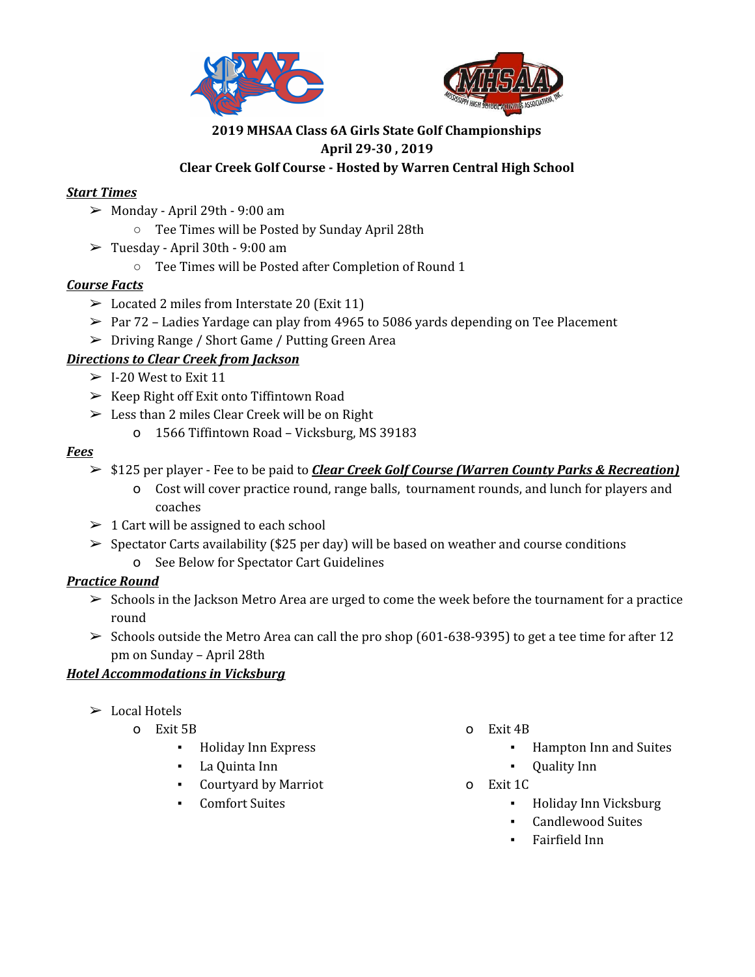



## **2019 MHSAA Class 6A Girls State Golf Championships April 29-30 , 2019 Clear Creek Golf Course - Hosted by Warren Central High School**

### *Start Times*

- $\geq$  Monday April 29th 9:00 am
	- Tee Times will be Posted by Sunday April 28th
- $\geq$  Tuesday April 30th 9:00 am
	- Tee Times will be Posted after Completion of Round 1

#### *Course Facts*

- $\triangleright$  Located 2 miles from Interstate 20 (Exit 11)
- $\geq$  Par 72 Ladies Yardage can play from 4965 to 5086 yards depending on Tee Placement
- ➢ Driving Range / Short Game / Putting Green Area

#### *Directions to Clear Creek from Jackson*

- $>$  I-20 West to Exit 11
- $\triangleright$  Keep Right off Exit onto Tiffintown Road
- $\geq$  Less than 2 miles Clear Creek will be on Right
	- o 1566 Tiffintown Road Vicksburg, MS 39183

#### *Fees*

- ➢ \$125 per player Fee to be paid to *Clear Creek Golf Course (Warren County Parks & Recreation)*
	- o Cost will cover practice round, range balls, tournament rounds, and lunch for players and coaches
- $\geq 1$  Cart will be assigned to each school
- $\triangleright$  Spectator Carts availability (\$25 per day) will be based on weather and course conditions
	- o See Below for Spectator Cart Guidelines

## *Practice Round*

- $\geq$  Schools in the Jackson Metro Area are urged to come the week before the tournament for a practice round
- $\geq$  Schools outside the Metro Area can call the pro shop (601-638-9395) to get a tee time for after 12 pm on Sunday – April 28th

#### *Hotel Accommodations in Vicksburg*

- $\triangleright$  Local Hotels
	- o Exit 5B
		- Holiday Inn Express
		- La Quinta Inn
		- Courtyard by Marriot
		- Comfort Suites
- o Exit 4B
	- Hampton Inn and Suites
	- **Quality Inn**
- o Exit 1C
	- Holiday Inn Vicksburg
	- **Candlewood Suites**
	- Fairfield Inn